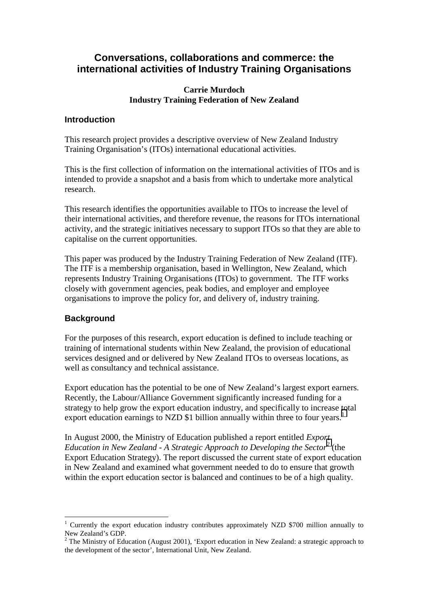# **Conversations, collaborations and commerce: the international activities of Industry Training Organisations**

#### **Carrie Murdoch Industry Training Federation of New Zealand**

#### **Introduction**

This research project provides a descriptive overview of New Zealand Industry Training Organisation's (ITOs) international educational activities.

This is the first collection of information on the international activities of ITOs and is intended to provide a snapshot and a basis from which to undertake more analytical research.

This research identifies the opportunities available to ITOs to increase the level of their international activities, and therefore revenue, the reasons for ITOs international activity, and the strategic initiatives necessary to support ITOs so that they are able to capitalise on the current opportunities.

This paper was produced by the Industry Training Federation of New Zealand (ITF). The ITF is a membership organisation, based in Wellington, New Zealand, which represents Industry Training Organisations (ITOs) to government. The ITF works closely with government agencies, peak bodies, and employer and employee organisations to improve the policy for, and delivery of, industry training.

## **Background**

 $\overline{a}$ 

For the purposes of this research, export education is defined to include teaching or training of international students within New Zealand, the provision of educational services designed and or delivered by New Zealand ITOs to overseas locations, as well as consultancy and technical assistance.

Export education has the potential to be one of New Zealand's largest export earners. Recently, the Labour/Alliance Government significantly increased funding for a strategy to help grow the export education industry, and specifically to increase total export education earnings to NZD \$1 billion annually within three to four years.<sup>1</sup>

In August 2000, the Ministry of Education published a report entitled *Export Education in New Zealand - A Strategic Approach to Developing the Sector2* (the Export Education Strategy). The report discussed the current state of export education in New Zealand and examined what government needed to do to ensure that growth within the export education sector is balanced and continues to be of a high quality.

<sup>1</sup> Currently the export education industry contributes approximately NZD \$700 million annually to New Zealand's GDP.

<sup>&</sup>lt;sup>2</sup> The Ministry of Education (August 2001), 'Export education in New Zealand: a strategic approach to the development of the sector', International Unit, New Zealand.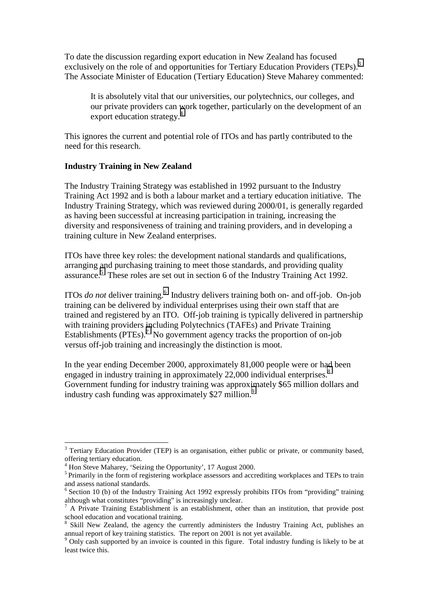To date the discussion regarding export education in New Zealand has focused exclusively on the role of and opportunities for Tertiary Education Providers (TEPs).<sup>3</sup> The Associate Minister of Education (Tertiary Education) Steve Maharey commented:

It is absolutely vital that our universities, our polytechnics, our colleges, and our private providers can work together, particularly on the development of an export education strategy.<sup>4</sup>

This ignores the current and potential role of ITOs and has partly contributed to the need for this research.

#### **Industry Training in New Zealand**

The Industry Training Strategy was established in 1992 pursuant to the Industry Training Act 1992 and is both a labour market and a tertiary education initiative. The Industry Training Strategy, which was reviewed during 2000/01, is generally regarded as having been successful at increasing participation in training, increasing the diversity and responsiveness of training and training providers, and in developing a training culture in New Zealand enterprises.

ITOs have three key roles: the development national standards and qualifications, arranging and purchasing training to meet those standards, and providing quality assurance.<sup>5</sup> These roles are set out in section 6 of the Industry Training Act 1992.

ITOs *do not* deliver training.<sup>6</sup> Industry delivers training both on- and off-job. On-job training can be delivered by individual enterprises using their own staff that are trained and registered by an ITO. Off-job training is typically delivered in partnership with training providers including Polytechnics (TAFEs) and Private Training Establishments  $(PTEs)$ .<sup>7</sup> No government agency tracks the proportion of on-job versus off-job training and increasingly the distinction is moot.

In the year ending December 2000, approximately 81,000 people were or had been engaged in industry training in approximately 22,000 individual enterprises.<sup>8</sup> Government funding for industry training was approximately \$65 million dollars and industry cash funding was approximately \$27 million.<sup>9</sup>

 $\overline{a}$ 

<sup>&</sup>lt;sup>3</sup> Tertiary Education Provider (TEP) is an organisation, either public or private, or community based, offering tertiary education.

<sup>4</sup> Hon Steve Maharey, 'Seizing the Opportunity', 17 August 2000.

<sup>&</sup>lt;sup>5</sup> Primarily in the form of registering workplace assessors and accrediting workplaces and TEPs to train and assess national standards.

 $6$  Section 10 (b) of the Industry Training Act 1992 expressly prohibits ITOs from "providing" training although what constitutes "providing" is increasingly unclear.

<sup>&</sup>lt;sup>7</sup> A Private Training Establishment is an establishment, other than an institution, that provide post school education and vocational training.

<sup>8</sup> Skill New Zealand, the agency the currently administers the Industry Training Act, publishes an annual report of key training statistics. The report on 2001 is not yet available.

<sup>&</sup>lt;sup>9</sup> Only cash supported by an invoice is counted in this figure. Total industry funding is likely to be at least twice this.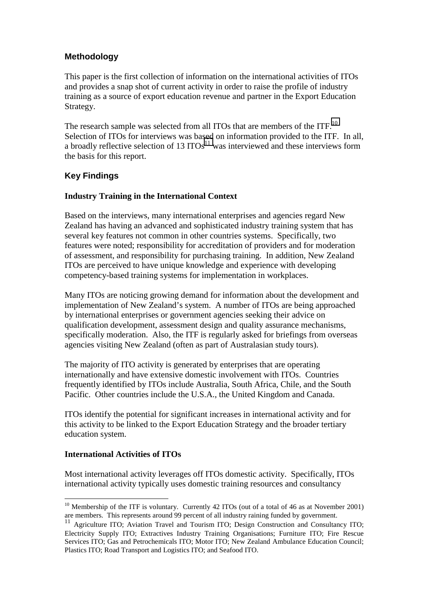# **Methodology**

This paper is the first collection of information on the international activities of ITOs and provides a snap shot of current activity in order to raise the profile of industry training as a source of export education revenue and partner in the Export Education Strategy.

The research sample was selected from all ITOs that are members of the ITF.<sup>10</sup> Selection of ITOs for interviews was based on information provided to the ITF. In all, a broadly reflective selection of 13  $ITOs<sup>11</sup>$  was interviewed and these interviews form the basis for this report.

# **Key Findings**

## **Industry Training in the International Context**

Based on the interviews, many international enterprises and agencies regard New Zealand has having an advanced and sophisticated industry training system that has several key features not common in other countries systems. Specifically, two features were noted; responsibility for accreditation of providers and for moderation of assessment, and responsibility for purchasing training. In addition, New Zealand ITOs are perceived to have unique knowledge and experience with developing competency-based training systems for implementation in workplaces.

Many ITOs are noticing growing demand for information about the development and implementation of New Zealand's system. A number of ITOs are being approached by international enterprises or government agencies seeking their advice on qualification development, assessment design and quality assurance mechanisms, specifically moderation. Also, the ITF is regularly asked for briefings from overseas agencies visiting New Zealand (often as part of Australasian study tours).

The majority of ITO activity is generated by enterprises that are operating internationally and have extensive domestic involvement with ITOs. Countries frequently identified by ITOs include Australia, South Africa, Chile, and the South Pacific. Other countries include the U.S.A., the United Kingdom and Canada.

ITOs identify the potential for significant increases in international activity and for this activity to be linked to the Export Education Strategy and the broader tertiary education system.

## **International Activities of ITOs**

 $\overline{a}$ 

Most international activity leverages off ITOs domestic activity. Specifically, ITOs international activity typically uses domestic training resources and consultancy

<sup>&</sup>lt;sup>10</sup> Membership of the ITF is voluntary. Currently 42 ITOs (out of a total of 46 as at November 2001) are members. This represents around 99 percent of all industry raining funded by government.

<sup>&</sup>lt;sup>11</sup> Agriculture ITO; Aviation Travel and Tourism ITO; Design Construction and Consultancy ITO; Electricity Supply ITO; Extractives Industry Training Organisations; Furniture ITO; Fire Rescue Services ITO; Gas and Petrochemicals ITO; Motor ITO; New Zealand Ambulance Education Council; Plastics ITO; Road Transport and Logistics ITO; and Seafood ITO.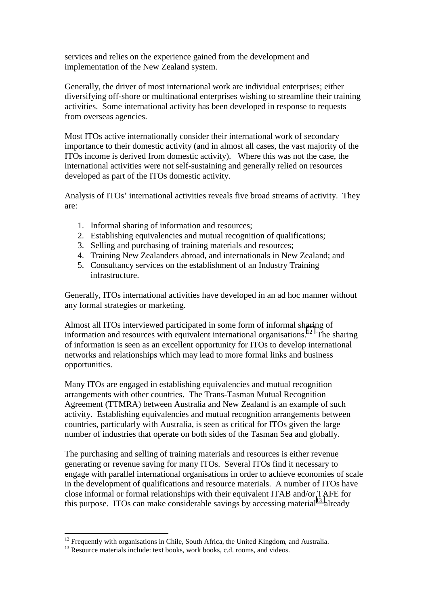services and relies on the experience gained from the development and implementation of the New Zealand system.

Generally, the driver of most international work are individual enterprises; either diversifying off-shore or multinational enterprises wishing to streamline their training activities. Some international activity has been developed in response to requests from overseas agencies.

Most ITOs active internationally consider their international work of secondary importance to their domestic activity (and in almost all cases, the vast majority of the ITOs income is derived from domestic activity). Where this was not the case, the international activities were not self-sustaining and generally relied on resources developed as part of the ITOs domestic activity.

Analysis of ITOs' international activities reveals five broad streams of activity. They are:

- 1. Informal sharing of information and resources;
- 2. Establishing equivalencies and mutual recognition of qualifications;
- 3. Selling and purchasing of training materials and resources;
- 4. Training New Zealanders abroad, and internationals in New Zealand; and
- 5. Consultancy services on the establishment of an Industry Training infrastructure.

Generally, ITOs international activities have developed in an ad hoc manner without any formal strategies or marketing.

Almost all ITOs interviewed participated in some form of informal sharing of information and resources with equivalent international organisations.<sup>12</sup> The sharing of information is seen as an excellent opportunity for ITOs to develop international networks and relationships which may lead to more formal links and business opportunities.

Many ITOs are engaged in establishing equivalencies and mutual recognition arrangements with other countries. The Trans-Tasman Mutual Recognition Agreement (TTMRA) between Australia and New Zealand is an example of such activity. Establishing equivalencies and mutual recognition arrangements between countries, particularly with Australia, is seen as critical for ITOs given the large number of industries that operate on both sides of the Tasman Sea and globally.

The purchasing and selling of training materials and resources is either revenue generating or revenue saving for many ITOs. Several ITOs find it necessary to engage with parallel international organisations in order to achieve economies of scale in the development of qualifications and resource materials. A number of ITOs have close informal or formal relationships with their equivalent ITAB and/or TAFE for this purpose. ITOs can make considerable savings by accessing material<sup>13</sup> already

 $\overline{a}$  $12$  Frequently with organisations in Chile, South Africa, the United Kingdom, and Australia.

<sup>&</sup>lt;sup>13</sup> Resource materials include: text books, work books, c.d. rooms, and videos.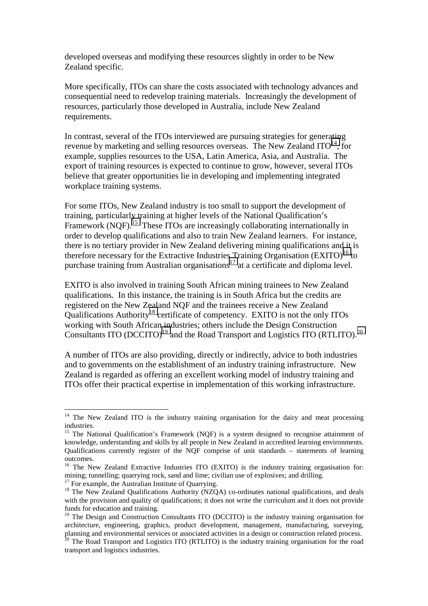developed overseas and modifying these resources slightly in order to be New Zealand specific.

More specifically, ITOs can share the costs associated with technology advances and consequential need to redevelop training materials. Increasingly the development of resources, particularly those developed in Australia, include New Zealand requirements.

In contrast, several of the ITOs interviewed are pursuing strategies for generating revenue by marketing and selling resources overseas. The New Zealand  $ITO<sup>14</sup>$ , for example, supplies resources to the USA, Latin America, Asia, and Australia. The export of training resources is expected to continue to grow, however, several ITOs believe that greater opportunities lie in developing and implementing integrated workplace training systems.

For some ITOs, New Zealand industry is too small to support the development of training, particularly training at higher levels of the National Qualification's Framework (NQF).<sup>15</sup> These ITOs are increasingly collaborating internationally in order to develop qualifications and also to train New Zealand learners. For instance, there is no tertiary provider in New Zealand delivering mining qualifications and it is therefore necessary for the Extractive Industries Training Organisation  $(EXTTO)^{16}$  to purchase training from Australian organisations<sup>17</sup> at a certificate and diploma level.

EXITO is also involved in training South African mining trainees to New Zealand qualifications. In this instance, the training is in South Africa but the credits are registered on the New Zealand NQF and the trainees receive a New Zealand Qualifications Authority<sup>18</sup> certificate of competency. EXITO is not the only ITOs working with South African industries; others include the Design Construction Consultants ITO  $(DCCTTO)^{19}$  and the Road Transport and Logistics ITO (RTLITO).<sup>20</sup>

A number of ITOs are also providing, directly or indirectly, advice to both industries and to governments on the establishment of an industry training infrastructure. New Zealand is regarded as offering an excellent working model of industry training and ITOs offer their practical expertise in implementation of this working infrastructure.

<sup>17</sup> For example, the Australian Institute of Quarrying.

 $\overline{a}$ 

 $14$  The New Zealand ITO is the industry training organisation for the dairy and meat processing industries.

<sup>&</sup>lt;sup>15</sup> The National Qualification's Framework (NQF) is a system designed to recognise attainment of knowledge, understanding and skills by all people in New Zealand in accredited learning environments. Qualifications currently register of the NQF comprise of unit standards – statements of learning outcomes.

<sup>&</sup>lt;sup>16</sup> The New Zealand Extractive Industries ITO (EXITO) is the industry training organisation for: mining; tunnelling; quarrying rock, sand and lime; civilian use of explosives; and drilling.

<sup>&</sup>lt;sup>18</sup> The New Zealand Qualifications Authority (NZQA) co-ordinates national qualifications, and deals with the provision and quality of qualifications; it does not write the curriculum and it does not provide funds for education and training.

<sup>&</sup>lt;sup>19</sup> The Design and Construction Consultants ITO (DCCITO) is the industry training organisation for architecture, engineering, graphics, product development, management, manufacturing, surveying, planning and environmental services or associated activities in a design or construction related process.

 $20$  The Road Transport and Logistics ITO (RTLITO) is the industry training organisation for the road transport and logistics industries.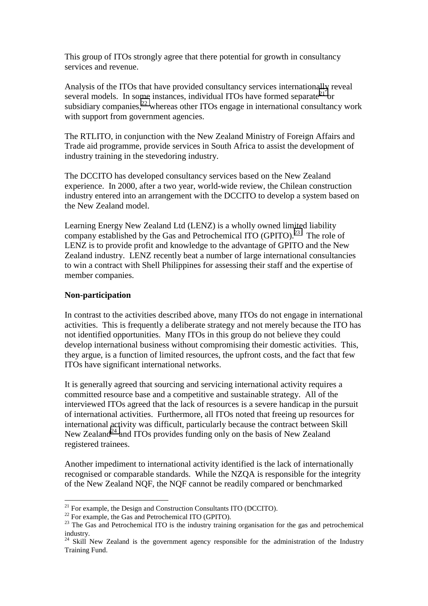This group of ITOs strongly agree that there potential for growth in consultancy services and revenue.

Analysis of the ITOs that have provided consultancy services internationally reveal several models. In some instances, individual ITOs have formed separate<sup>21</sup> or subsidiary companies, $^{22}$  whereas other ITOs engage in international consultancy work with support from government agencies.

The RTLITO, in conjunction with the New Zealand Ministry of Foreign Affairs and Trade aid programme, provide services in South Africa to assist the development of industry training in the stevedoring industry.

The DCCITO has developed consultancy services based on the New Zealand experience. In 2000, after a two year, world-wide review, the Chilean construction industry entered into an arrangement with the DCCITO to develop a system based on the New Zealand model.

Learning Energy New Zealand Ltd (LENZ) is a wholly owned limited liability company established by the Gas and Petrochemical ITO (GPITO).<sup>23</sup> The role of LENZ is to provide profit and knowledge to the advantage of GPITO and the New Zealand industry. LENZ recently beat a number of large international consultancies to win a contract with Shell Philippines for assessing their staff and the expertise of member companies.

#### **Non-participation**

 $\overline{a}$ 

In contrast to the activities described above, many ITOs do not engage in international activities. This is frequently a deliberate strategy and not merely because the ITO has not identified opportunities. Many ITOs in this group do not believe they could develop international business without compromising their domestic activities. This, they argue, is a function of limited resources, the upfront costs, and the fact that few ITOs have significant international networks.

It is generally agreed that sourcing and servicing international activity requires a committed resource base and a competitive and sustainable strategy. All of the interviewed ITOs agreed that the lack of resources is a severe handicap in the pursuit of international activities. Furthermore, all ITOs noted that freeing up resources for international activity was difficult, particularly because the contract between Skill New Zealand<sup>24</sup> and ITOs provides funding only on the basis of New Zealand registered trainees.

Another impediment to international activity identified is the lack of internationally recognised or comparable standards. While the NZQA is responsible for the integrity of the New Zealand NQF, the NQF cannot be readily compared or benchmarked

 $21$  For example, the Design and Construction Consultants ITO (DCCITO).

<sup>&</sup>lt;sup>22</sup> For example, the Gas and Petrochemical ITO (GPITO).

<sup>&</sup>lt;sup>23</sup> The Gas and Petrochemical ITO is the industry training organisation for the gas and petrochemical industry.

 $24$  Skill New Zealand is the government agency responsible for the administration of the Industry Training Fund.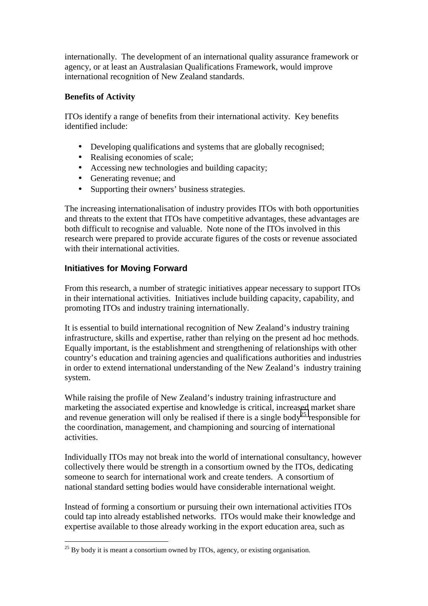internationally. The development of an international quality assurance framework or agency, or at least an Australasian Qualifications Framework, would improve international recognition of New Zealand standards.

# **Benefits of Activity**

ITOs identify a range of benefits from their international activity. Key benefits identified include:

- Developing qualifications and systems that are globally recognised;
- Realising economies of scale;
- Accessing new technologies and building capacity;
- Generating revenue; and
- Supporting their owners' business strategies.

The increasing internationalisation of industry provides ITOs with both opportunities and threats to the extent that ITOs have competitive advantages, these advantages are both difficult to recognise and valuable. Note none of the ITOs involved in this research were prepared to provide accurate figures of the costs or revenue associated with their international activities.

# **Initiatives for Moving Forward**

 $\overline{a}$ 

From this research, a number of strategic initiatives appear necessary to support ITOs in their international activities. Initiatives include building capacity, capability, and promoting ITOs and industry training internationally.

It is essential to build international recognition of New Zealand's industry training infrastructure, skills and expertise, rather than relying on the present ad hoc methods. Equally important, is the establishment and strengthening of relationships with other country's education and training agencies and qualifications authorities and industries in order to extend international understanding of the New Zealand's industry training system.

While raising the profile of New Zealand's industry training infrastructure and marketing the associated expertise and knowledge is critical, increased market share and revenue generation will only be realised if there is a single body<sup>25</sup> responsible for the coordination, management, and championing and sourcing of international activities.

Individually ITOs may not break into the world of international consultancy, however collectively there would be strength in a consortium owned by the ITOs, dedicating someone to search for international work and create tenders. A consortium of national standard setting bodies would have considerable international weight.

Instead of forming a consortium or pursuing their own international activities ITOs could tap into already established networks. ITOs would make their knowledge and expertise available to those already working in the export education area, such as

 $^{25}$  By body it is meant a consortium owned by ITOs, agency, or existing organisation.